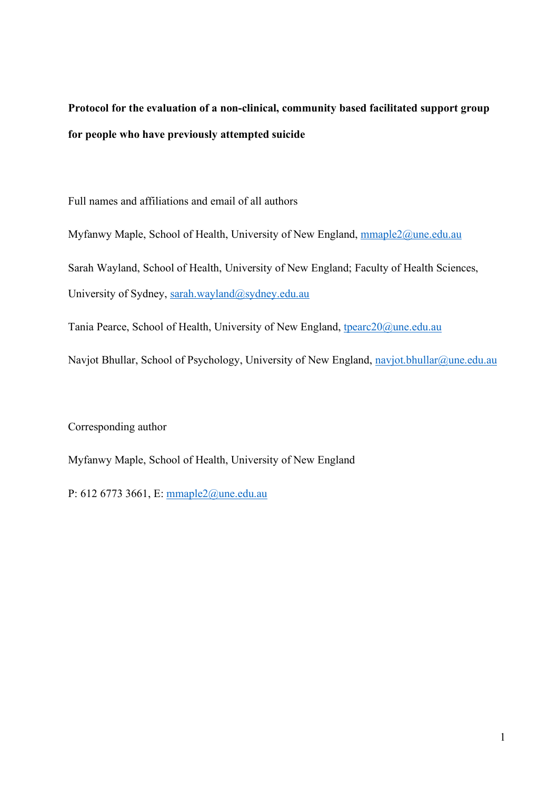**Protocol for the evaluation of a non-clinical, community based facilitated support group for people who have previously attempted suicide**

Full names and affiliations and email of all authors

Myfanwy Maple, School of Health, University of New England, mmaple2@une.edu.au Sarah Wayland, School of Health, University of New England; Faculty of Health Sciences, University of Sydney, sarah.wayland@sydney.edu.au

Tania Pearce, School of Health, University of New England, tpearc20@une.edu.au

Navjot Bhullar, School of Psychology, University of New England, navjot.bhullar@une.edu.au

Corresponding author

Myfanwy Maple, School of Health, University of New England

P: 612 6773 3661, E: mmaple2@une.edu.au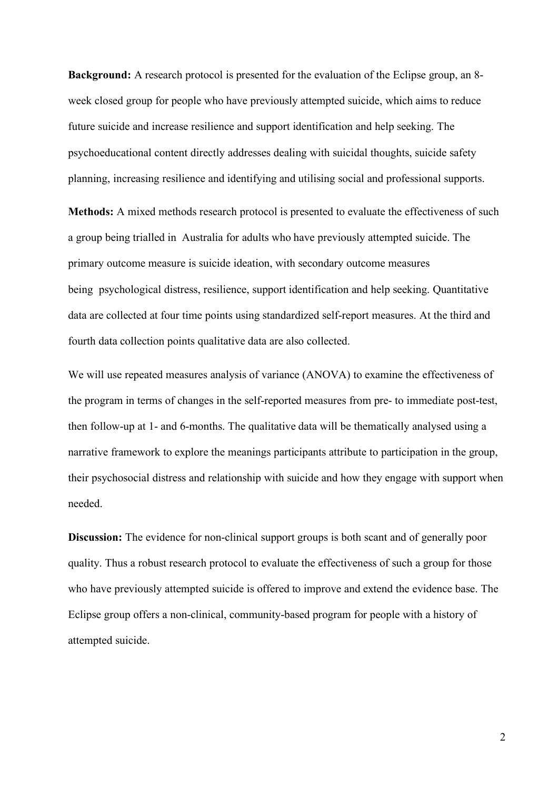**Background:** A research protocol is presented for the evaluation of the Eclipse group, an 8 week closed group for people who have previously attempted suicide, which aims to reduce future suicide and increase resilience and support identification and help seeking. The psychoeducational content directly addresses dealing with suicidal thoughts, suicide safety planning, increasing resilience and identifying and utilising social and professional supports.

**Methods:** A mixed methods research protocol is presented to evaluate the effectiveness of such a group being trialled in Australia for adults who have previously attempted suicide. The primary outcome measure is suicide ideation, with secondary outcome measures being psychological distress, resilience, support identification and help seeking. Quantitative data are collected at four time points using standardized self-report measures. At the third and fourth data collection points qualitative data are also collected.

We will use repeated measures analysis of variance (ANOVA) to examine the effectiveness of the program in terms of changes in the self-reported measures from pre- to immediate post-test, then follow-up at 1- and 6-months. The qualitative data will be thematically analysed using a narrative framework to explore the meanings participants attribute to participation in the group, their psychosocial distress and relationship with suicide and how they engage with support when needed.

**Discussion:** The evidence for non-clinical support groups is both scant and of generally poor quality. Thus a robust research protocol to evaluate the effectiveness of such a group for those who have previously attempted suicide is offered to improve and extend the evidence base. The Eclipse group offers a non-clinical, community-based program for people with a history of attempted suicide.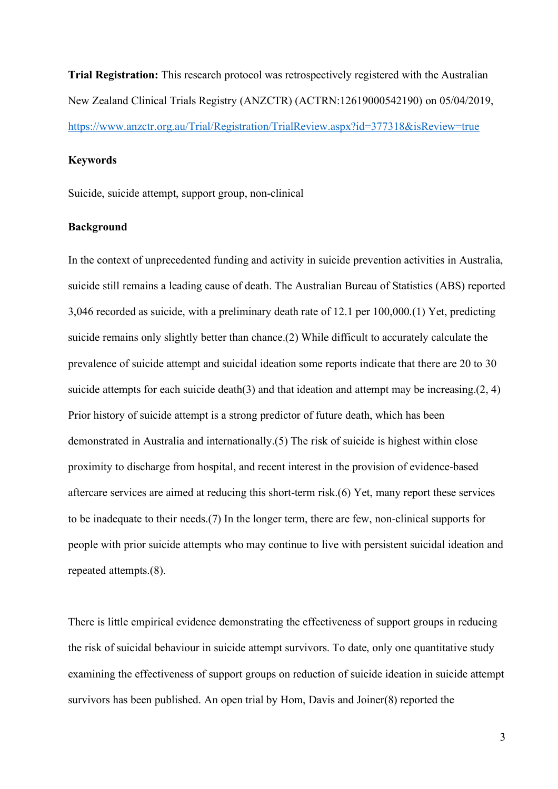**Trial Registration:** This research protocol was retrospectively registered with the Australian New Zealand Clinical Trials Registry (ANZCTR) (ACTRN:12619000542190) on 05/04/2019, https://www.anzctr.org.au/Trial/Registration/TrialReview.aspx?id=377318&isReview=true

# **Keywords**

Suicide, suicide attempt, support group, non-clinical

## **Background**

In the context of unprecedented funding and activity in suicide prevention activities in Australia, suicide still remains a leading cause of death. The Australian Bureau of Statistics (ABS) reported 3,046 recorded as suicide, with a preliminary death rate of 12.1 per 100,000.(1) Yet, predicting suicide remains only slightly better than chance.(2) While difficult to accurately calculate the prevalence of suicide attempt and suicidal ideation some reports indicate that there are 20 to 30 suicide attempts for each suicide death(3) and that ideation and attempt may be increasing.(2, 4) Prior history of suicide attempt is a strong predictor of future death, which has been demonstrated in Australia and internationally.(5) The risk of suicide is highest within close proximity to discharge from hospital, and recent interest in the provision of evidence-based aftercare services are aimed at reducing this short-term risk.(6) Yet, many report these services to be inadequate to their needs.(7) In the longer term, there are few, non-clinical supports for people with prior suicide attempts who may continue to live with persistent suicidal ideation and repeated attempts.(8).

There is little empirical evidence demonstrating the effectiveness of support groups in reducing the risk of suicidal behaviour in suicide attempt survivors. To date, only one quantitative study examining the effectiveness of support groups on reduction of suicide ideation in suicide attempt survivors has been published. An open trial by Hom, Davis and Joiner(8) reported the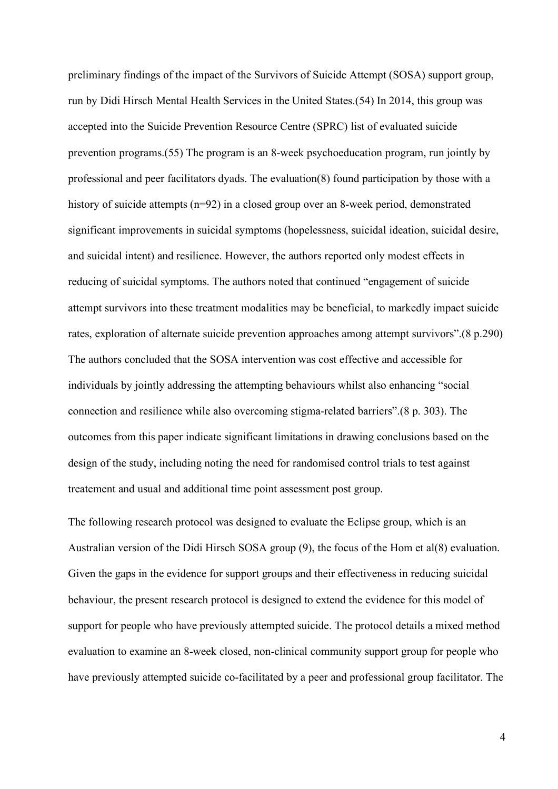preliminary findings of the impact of the Survivors of Suicide Attempt (SOSA) support group, run by Didi Hirsch Mental Health Services in the United States.(54) In 2014, this group was accepted into the Suicide Prevention Resource Centre (SPRC) list of evaluated suicide prevention programs.(55) The program is an 8-week psychoeducation program, run jointly by professional and peer facilitators dyads. The evaluation(8) found participation by those with a history of suicide attempts (n=92) in a closed group over an 8-week period, demonstrated significant improvements in suicidal symptoms (hopelessness, suicidal ideation, suicidal desire, and suicidal intent) and resilience. However, the authors reported only modest effects in reducing of suicidal symptoms. The authors noted that continued "engagement of suicide attempt survivors into these treatment modalities may be beneficial, to markedly impact suicide rates, exploration of alternate suicide prevention approaches among attempt survivors".(8 p.290) The authors concluded that the SOSA intervention was cost effective and accessible for individuals by jointly addressing the attempting behaviours whilst also enhancing "social connection and resilience while also overcoming stigma-related barriers".(8 p. 303). The outcomes from this paper indicate significant limitations in drawing conclusions based on the design of the study, including noting the need for randomised control trials to test against treatement and usual and additional time point assessment post group.

The following research protocol was designed to evaluate the Eclipse group, which is an Australian version of the Didi Hirsch SOSA group (9), the focus of the Hom et al(8) evaluation. Given the gaps in the evidence for support groups and their effectiveness in reducing suicidal behaviour, the present research protocol is designed to extend the evidence for this model of support for people who have previously attempted suicide. The protocol details a mixed method evaluation to examine an 8-week closed, non-clinical community support group for people who have previously attempted suicide co-facilitated by a peer and professional group facilitator. The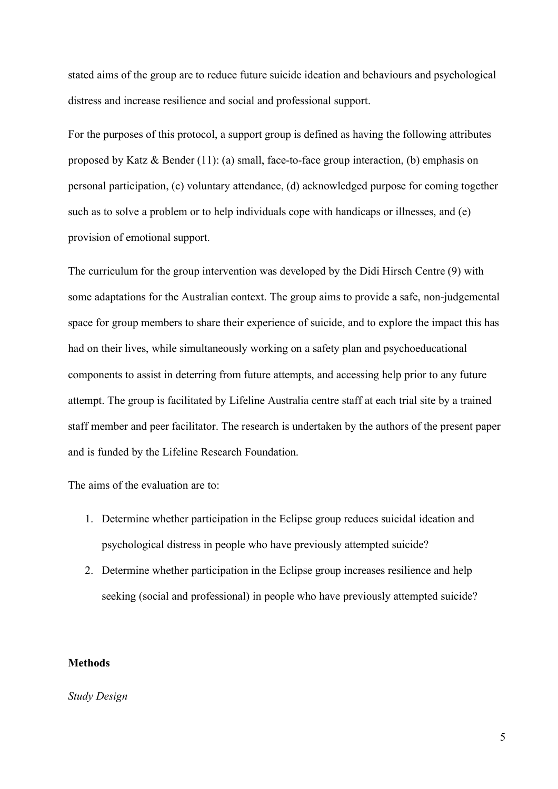stated aims of the group are to reduce future suicide ideation and behaviours and psychological distress and increase resilience and social and professional support.

For the purposes of this protocol, a support group is defined as having the following attributes proposed by Katz  $\&$  Bender (11): (a) small, face-to-face group interaction, (b) emphasis on personal participation, (c) voluntary attendance, (d) acknowledged purpose for coming together such as to solve a problem or to help individuals cope with handicaps or illnesses, and (e) provision of emotional support.

The curriculum for the group intervention was developed by the Didi Hirsch Centre (9) with some adaptations for the Australian context. The group aims to provide a safe, non-judgemental space for group members to share their experience of suicide, and to explore the impact this has had on their lives, while simultaneously working on a safety plan and psychoeducational components to assist in deterring from future attempts, and accessing help prior to any future attempt. The group is facilitated by Lifeline Australia centre staff at each trial site by a trained staff member and peer facilitator. The research is undertaken by the authors of the present paper and is funded by the Lifeline Research Foundation.

The aims of the evaluation are to:

- 1. Determine whether participation in the Eclipse group reduces suicidal ideation and psychological distress in people who have previously attempted suicide?
- 2. Determine whether participation in the Eclipse group increases resilience and help seeking (social and professional) in people who have previously attempted suicide?

# **Methods**

## *Study Design*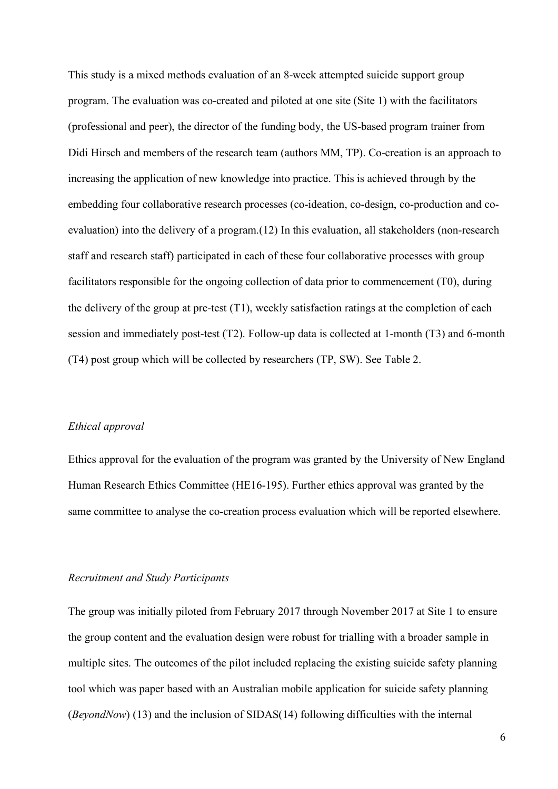This study is a mixed methods evaluation of an 8-week attempted suicide support group program. The evaluation was co-created and piloted at one site (Site 1) with the facilitators (professional and peer), the director of the funding body, the US-based program trainer from Didi Hirsch and members of the research team (authors MM, TP). Co-creation is an approach to increasing the application of new knowledge into practice. This is achieved through by the embedding four collaborative research processes (co-ideation, co-design, co-production and coevaluation) into the delivery of a program.(12) In this evaluation, all stakeholders (non-research staff and research staff) participated in each of these four collaborative processes with group facilitators responsible for the ongoing collection of data prior to commencement (T0), during the delivery of the group at pre-test (T1), weekly satisfaction ratings at the completion of each session and immediately post-test (T2). Follow-up data is collected at 1-month (T3) and 6-month (T4) post group which will be collected by researchers (TP, SW). See Table 2.

# *Ethical approval*

Ethics approval for the evaluation of the program was granted by the University of New England Human Research Ethics Committee (HE16-195). Further ethics approval was granted by the same committee to analyse the co-creation process evaluation which will be reported elsewhere.

## *Recruitment and Study Participants*

The group was initially piloted from February 2017 through November 2017 at Site 1 to ensure the group content and the evaluation design were robust for trialling with a broader sample in multiple sites. The outcomes of the pilot included replacing the existing suicide safety planning tool which was paper based with an Australian mobile application for suicide safety planning (*BeyondNow*) (13) and the inclusion of SIDAS(14) following difficulties with the internal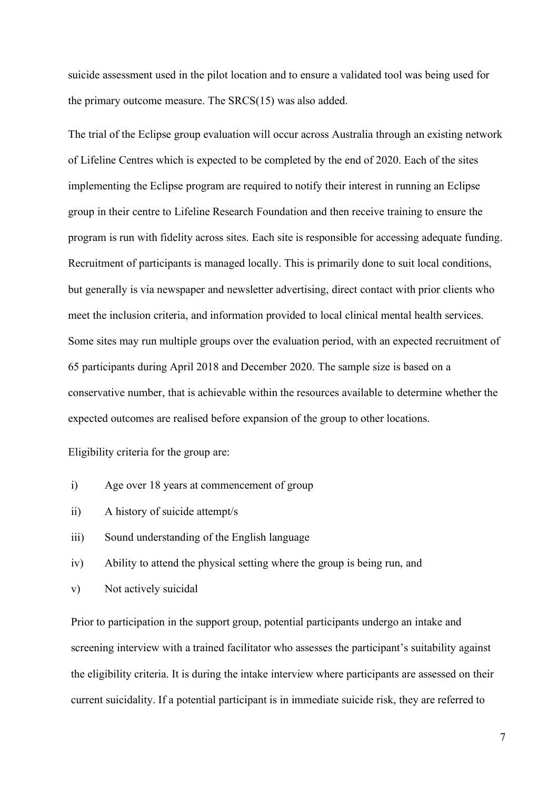suicide assessment used in the pilot location and to ensure a validated tool was being used for the primary outcome measure. The SRCS(15) was also added.

The trial of the Eclipse group evaluation will occur across Australia through an existing network of Lifeline Centres which is expected to be completed by the end of 2020. Each of the sites implementing the Eclipse program are required to notify their interest in running an Eclipse group in their centre to Lifeline Research Foundation and then receive training to ensure the program is run with fidelity across sites. Each site is responsible for accessing adequate funding. Recruitment of participants is managed locally. This is primarily done to suit local conditions, but generally is via newspaper and newsletter advertising, direct contact with prior clients who meet the inclusion criteria, and information provided to local clinical mental health services. Some sites may run multiple groups over the evaluation period, with an expected recruitment of 65 participants during April 2018 and December 2020. The sample size is based on a conservative number, that is achievable within the resources available to determine whether the expected outcomes are realised before expansion of the group to other locations.

Eligibility criteria for the group are:

- i) Age over 18 years at commencement of group
- ii) A history of suicide attempt/s
- iii) Sound understanding of the English language
- iv) Ability to attend the physical setting where the group is being run, and
- v) Not actively suicidal

Prior to participation in the support group, potential participants undergo an intake and screening interview with a trained facilitator who assesses the participant's suitability against the eligibility criteria. It is during the intake interview where participants are assessed on their current suicidality. If a potential participant is in immediate suicide risk, they are referred to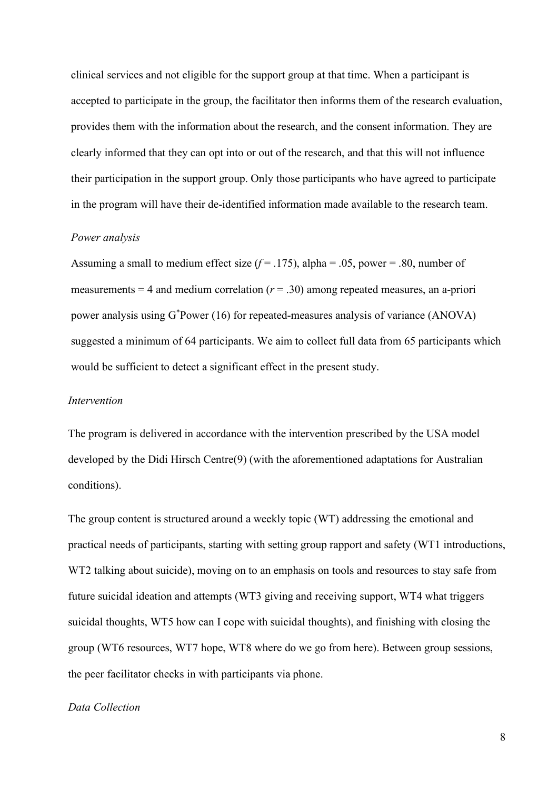clinical services and not eligible for the support group at that time. When a participant is accepted to participate in the group, the facilitator then informs them of the research evaluation, provides them with the information about the research, and the consent information. They are clearly informed that they can opt into or out of the research, and that this will not influence their participation in the support group. Only those participants who have agreed to participate in the program will have their de-identified information made available to the research team.

### *Power analysis*

Assuming a small to medium effect size  $(f = .175)$ , alpha = .05, power = .80, number of measurements  $= 4$  and medium correlation ( $r = .30$ ) among repeated measures, an a-priori power analysis using G\*Power (16) for repeated-measures analysis of variance (ANOVA) suggested a minimum of 64 participants. We aim to collect full data from 65 participants which would be sufficient to detect a significant effect in the present study.

## *Intervention*

The program is delivered in accordance with the intervention prescribed by the USA model developed by the Didi Hirsch Centre(9) (with the aforementioned adaptations for Australian conditions).

The group content is structured around a weekly topic (WT) addressing the emotional and practical needs of participants, starting with setting group rapport and safety (WT1 introductions, WT2 talking about suicide), moving on to an emphasis on tools and resources to stay safe from future suicidal ideation and attempts (WT3 giving and receiving support, WT4 what triggers suicidal thoughts, WT5 how can I cope with suicidal thoughts), and finishing with closing the group (WT6 resources, WT7 hope, WT8 where do we go from here). Between group sessions, the peer facilitator checks in with participants via phone.

### *Data Collection*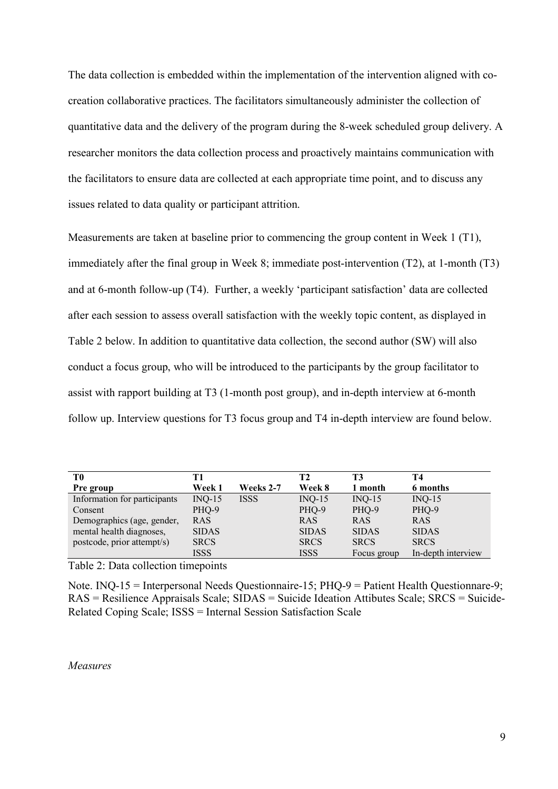The data collection is embedded within the implementation of the intervention aligned with cocreation collaborative practices. The facilitators simultaneously administer the collection of quantitative data and the delivery of the program during the 8-week scheduled group delivery. A researcher monitors the data collection process and proactively maintains communication with the facilitators to ensure data are collected at each appropriate time point, and to discuss any issues related to data quality or participant attrition.

Measurements are taken at baseline prior to commencing the group content in Week 1 (T1), immediately after the final group in Week 8; immediate post-intervention (T2), at 1-month (T3) and at 6-month follow-up (T4). Further, a weekly 'participant satisfaction' data are collected after each session to assess overall satisfaction with the weekly topic content, as displayed in Table 2 below. In addition to quantitative data collection, the second author (SW) will also conduct a focus group, who will be introduced to the participants by the group facilitator to assist with rapport building at T3 (1-month post group), and in-depth interview at 6-month follow up. Interview questions for T3 focus group and T4 in-depth interview are found below.

| T0                           | T1            |                  | T2           | T3           | T4                 |
|------------------------------|---------------|------------------|--------------|--------------|--------------------|
| Pre group                    | <b>Week 1</b> | <b>Weeks 2-7</b> | Week 8       | 1 month      | 6 months           |
| Information for participants | $INQ-15$      | <b>ISSS</b>      | $INQ-15$     | $INQ-15$     | $INQ-15$           |
| Consent                      | PHQ-9         |                  | PHQ-9        | PHQ-9        | PHQ-9              |
| Demographics (age, gender,   | <b>RAS</b>    |                  | <b>RAS</b>   | <b>RAS</b>   | <b>RAS</b>         |
| mental health diagnoses,     | <b>SIDAS</b>  |                  | <b>SIDAS</b> | <b>SIDAS</b> | <b>SIDAS</b>       |
| postcode, prior attempt/s)   | <b>SRCS</b>   |                  | <b>SRCS</b>  | <b>SRCS</b>  | <b>SRCS</b>        |
|                              | ISSS          |                  | <b>ISSS</b>  | Focus group  | In-depth interview |

Table 2: Data collection timepoints

Note.  $INO-15 = Interpersonal Needs Questionnaire-15$ ;  $PHO-9 = Patient Health Questionare-9$ ; RAS = Resilience Appraisals Scale; SIDAS = Suicide Ideation Attibutes Scale; SRCS = Suicide-Related Coping Scale; ISSS = Internal Session Satisfaction Scale

*Measures*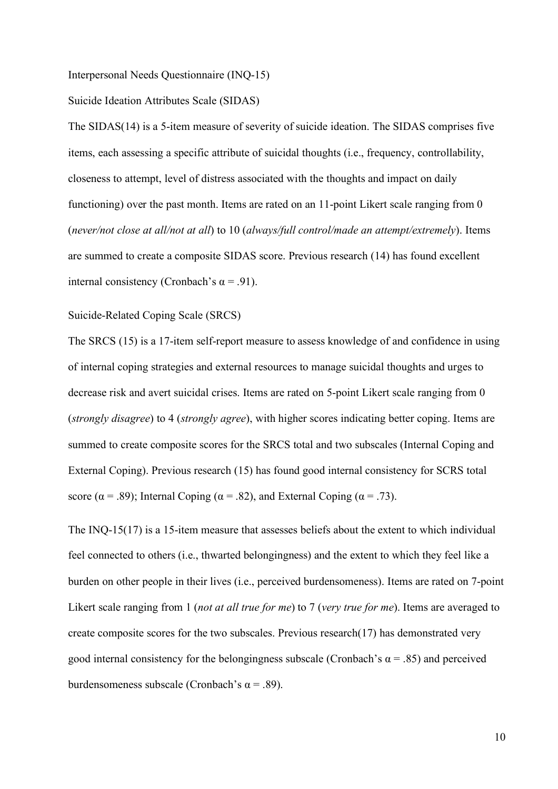Interpersonal Needs Questionnaire (INQ-15)

Suicide Ideation Attributes Scale (SIDAS)

The SIDAS(14) is a 5-item measure of severity of suicide ideation. The SIDAS comprises five items, each assessing a specific attribute of suicidal thoughts (i.e., frequency, controllability, closeness to attempt, level of distress associated with the thoughts and impact on daily functioning) over the past month. Items are rated on an 11-point Likert scale ranging from 0 (*never/not close at all/not at all*) to 10 (*always/full control/made an attempt/extremely*). Items are summed to create a composite SIDAS score. Previous research (14) has found excellent internal consistency (Cronbach's  $\alpha$  = .91).

Suicide-Related Coping Scale (SRCS)

The SRCS (15) is a 17-item self-report measure to assess knowledge of and confidence in using of internal coping strategies and external resources to manage suicidal thoughts and urges to decrease risk and avert suicidal crises. Items are rated on 5-point Likert scale ranging from 0 (*strongly disagree*) to 4 (*strongly agree*), with higher scores indicating better coping. Items are summed to create composite scores for the SRCS total and two subscales (Internal Coping and External Coping). Previous research (15) has found good internal consistency for SCRS total score ( $\alpha$  = .89); Internal Coping ( $\alpha$  = .82), and External Coping ( $\alpha$  = .73).

The INQ-15(17) is a 15-item measure that assesses beliefs about the extent to which individual feel connected to others (i.e., thwarted belongingness) and the extent to which they feel like a burden on other people in their lives (i.e., perceived burdensomeness). Items are rated on 7-point Likert scale ranging from 1 (*not at all true for me*) to 7 (*very true for me*). Items are averaged to create composite scores for the two subscales. Previous research(17) has demonstrated very good internal consistency for the belongingness subscale (Cronbach's  $\alpha$  = .85) and perceived burdensomeness subscale (Cronbach's α = .89).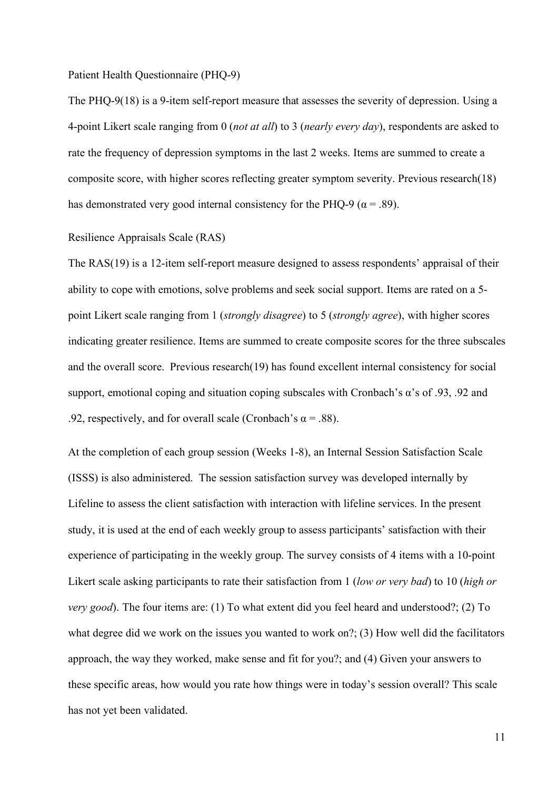### Patient Health Questionnaire (PHQ-9)

The PHQ-9(18) is a 9-item self-report measure that assesses the severity of depression. Using a 4-point Likert scale ranging from 0 (*not at all*) to 3 (*nearly every day*), respondents are asked to rate the frequency of depression symptoms in the last 2 weeks. Items are summed to create a composite score, with higher scores reflecting greater symptom severity. Previous research(18) has demonstrated very good internal consistency for the PHO-9 ( $\alpha$  = .89).

## Resilience Appraisals Scale (RAS)

The RAS(19) is a 12-item self-report measure designed to assess respondents' appraisal of their ability to cope with emotions, solve problems and seek social support. Items are rated on a 5 point Likert scale ranging from 1 (*strongly disagree*) to 5 (*strongly agree*), with higher scores indicating greater resilience. Items are summed to create composite scores for the three subscales and the overall score. Previous research(19) has found excellent internal consistency for social support, emotional coping and situation coping subscales with Cronbach's α's of .93, .92 and .92, respectively, and for overall scale (Cronbach's  $\alpha$  = .88).

At the completion of each group session (Weeks 1-8), an Internal Session Satisfaction Scale (ISSS) is also administered. The session satisfaction survey was developed internally by Lifeline to assess the client satisfaction with interaction with lifeline services. In the present study, it is used at the end of each weekly group to assess participants' satisfaction with their experience of participating in the weekly group. The survey consists of 4 items with a 10-point Likert scale asking participants to rate their satisfaction from 1 (*low or very bad*) to 10 (*high or very good*). The four items are: (1) To what extent did you feel heard and understood?; (2) To what degree did we work on the issues you wanted to work on?; (3) How well did the facilitators approach, the way they worked, make sense and fit for you?; and (4) Given your answers to these specific areas, how would you rate how things were in today's session overall? This scale has not yet been validated.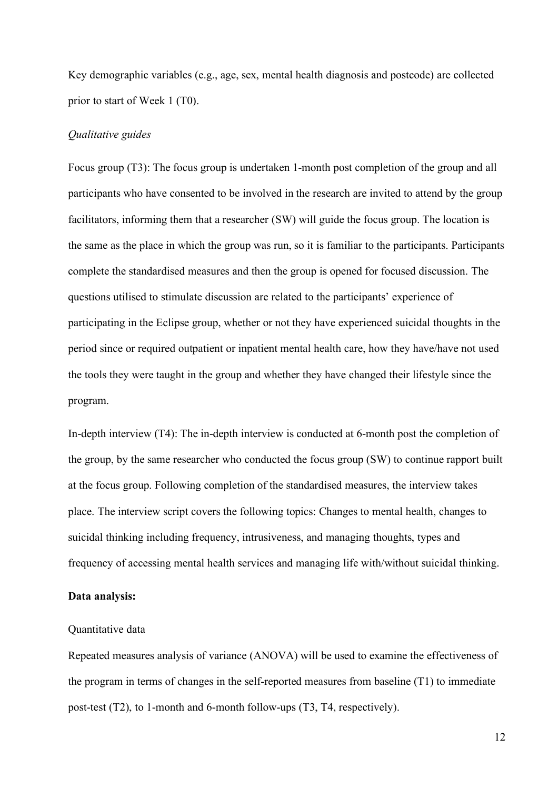Key demographic variables (e.g., age, sex, mental health diagnosis and postcode) are collected prior to start of Week 1 (T0).

#### *Qualitative guides*

Focus group (T3): The focus group is undertaken 1-month post completion of the group and all participants who have consented to be involved in the research are invited to attend by the group facilitators, informing them that a researcher (SW) will guide the focus group. The location is the same as the place in which the group was run, so it is familiar to the participants. Participants complete the standardised measures and then the group is opened for focused discussion. The questions utilised to stimulate discussion are related to the participants' experience of participating in the Eclipse group, whether or not they have experienced suicidal thoughts in the period since or required outpatient or inpatient mental health care, how they have/have not used the tools they were taught in the group and whether they have changed their lifestyle since the program.

In-depth interview (T4): The in-depth interview is conducted at 6-month post the completion of the group, by the same researcher who conducted the focus group (SW) to continue rapport built at the focus group. Following completion of the standardised measures, the interview takes place. The interview script covers the following topics: Changes to mental health, changes to suicidal thinking including frequency, intrusiveness, and managing thoughts, types and frequency of accessing mental health services and managing life with/without suicidal thinking.

#### **Data analysis:**

#### Quantitative data

Repeated measures analysis of variance (ANOVA) will be used to examine the effectiveness of the program in terms of changes in the self-reported measures from baseline (T1) to immediate post-test (T2), to 1-month and 6-month follow-ups (T3, T4, respectively).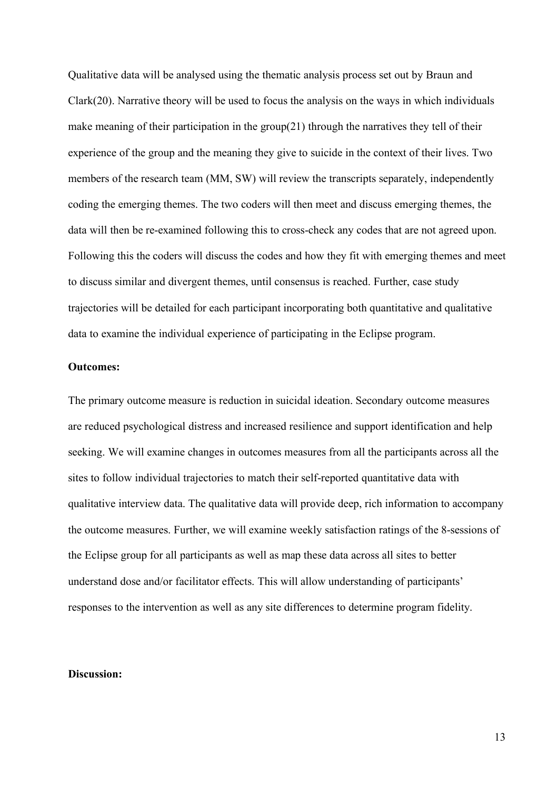Qualitative data will be analysed using the thematic analysis process set out by Braun and Clark(20). Narrative theory will be used to focus the analysis on the ways in which individuals make meaning of their participation in the group(21) through the narratives they tell of their experience of the group and the meaning they give to suicide in the context of their lives. Two members of the research team (MM, SW) will review the transcripts separately, independently coding the emerging themes. The two coders will then meet and discuss emerging themes, the data will then be re-examined following this to cross-check any codes that are not agreed upon. Following this the coders will discuss the codes and how they fit with emerging themes and meet to discuss similar and divergent themes, until consensus is reached. Further, case study trajectories will be detailed for each participant incorporating both quantitative and qualitative data to examine the individual experience of participating in the Eclipse program.

# **Outcomes:**

The primary outcome measure is reduction in suicidal ideation. Secondary outcome measures are reduced psychological distress and increased resilience and support identification and help seeking. We will examine changes in outcomes measures from all the participants across all the sites to follow individual trajectories to match their self-reported quantitative data with qualitative interview data. The qualitative data will provide deep, rich information to accompany the outcome measures. Further, we will examine weekly satisfaction ratings of the 8-sessions of the Eclipse group for all participants as well as map these data across all sites to better understand dose and/or facilitator effects. This will allow understanding of participants' responses to the intervention as well as any site differences to determine program fidelity.

## **Discussion:**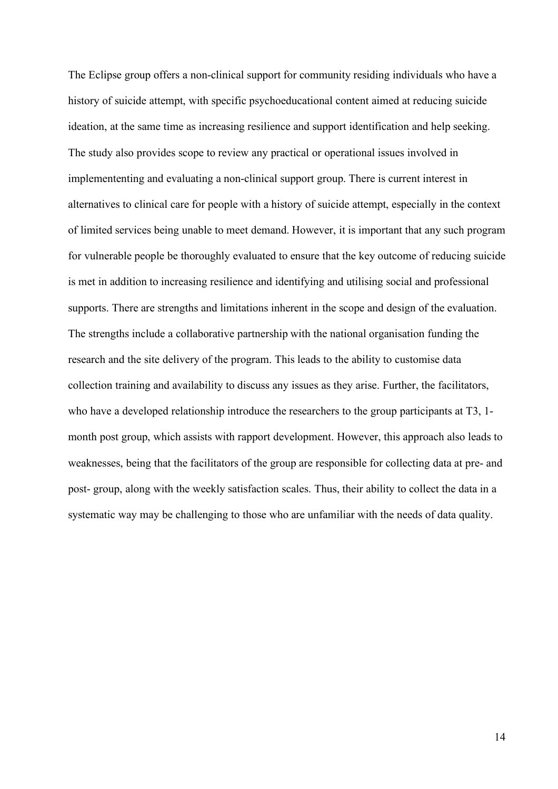The Eclipse group offers a non-clinical support for community residing individuals who have a history of suicide attempt, with specific psychoeducational content aimed at reducing suicide ideation, at the same time as increasing resilience and support identification and help seeking. The study also provides scope to review any practical or operational issues involved in implemententing and evaluating a non-clinical support group. There is current interest in alternatives to clinical care for people with a history of suicide attempt, especially in the context of limited services being unable to meet demand. However, it is important that any such program for vulnerable people be thoroughly evaluated to ensure that the key outcome of reducing suicide is met in addition to increasing resilience and identifying and utilising social and professional supports. There are strengths and limitations inherent in the scope and design of the evaluation. The strengths include a collaborative partnership with the national organisation funding the research and the site delivery of the program. This leads to the ability to customise data collection training and availability to discuss any issues as they arise. Further, the facilitators, who have a developed relationship introduce the researchers to the group participants at T3, 1month post group, which assists with rapport development. However, this approach also leads to weaknesses, being that the facilitators of the group are responsible for collecting data at pre- and post- group, along with the weekly satisfaction scales. Thus, their ability to collect the data in a systematic way may be challenging to those who are unfamiliar with the needs of data quality.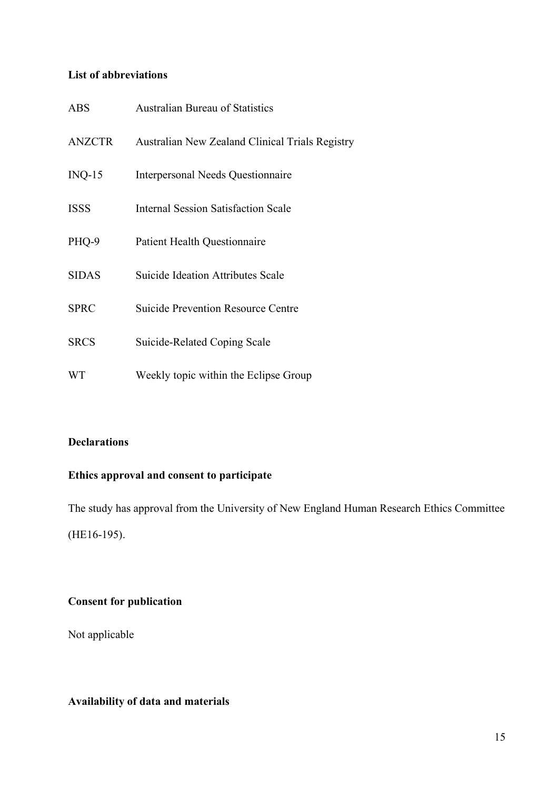# **List of abbreviations**

| <b>ABS</b>    | <b>Australian Bureau of Statistics</b>          |
|---------------|-------------------------------------------------|
| <b>ANZCTR</b> | Australian New Zealand Clinical Trials Registry |
| $INQ-15$      | <b>Interpersonal Needs Questionnaire</b>        |
| <b>ISSS</b>   | <b>Internal Session Satisfaction Scale</b>      |
| PHQ-9         | <b>Patient Health Questionnaire</b>             |
| <b>SIDAS</b>  | <b>Suicide Ideation Attributes Scale</b>        |
| <b>SPRC</b>   | <b>Suicide Prevention Resource Centre</b>       |
| <b>SRCS</b>   | Suicide-Related Coping Scale                    |
| <b>WT</b>     | Weekly topic within the Eclipse Group           |

# **Declarations**

# **Ethics approval and consent to participate**

The study has approval from the University of New England Human Research Ethics Committee (HE16-195).

# **Consent for publication**

Not applicable

# **Availability of data and materials**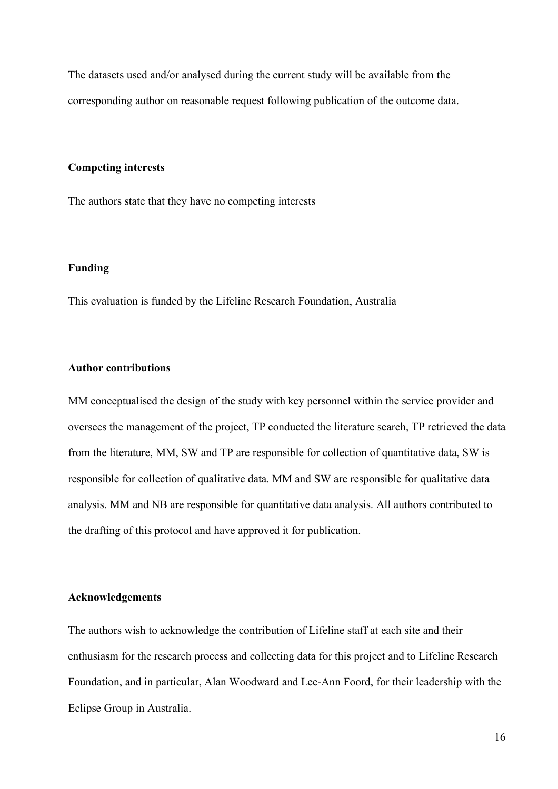The datasets used and/or analysed during the current study will be available from the corresponding author on reasonable request following publication of the outcome data.

#### **Competing interests**

The authors state that they have no competing interests

### **Funding**

This evaluation is funded by the Lifeline Research Foundation, Australia

# **Author contributions**

MM conceptualised the design of the study with key personnel within the service provider and oversees the management of the project, TP conducted the literature search, TP retrieved the data from the literature, MM, SW and TP are responsible for collection of quantitative data, SW is responsible for collection of qualitative data. MM and SW are responsible for qualitative data analysis. MM and NB are responsible for quantitative data analysis. All authors contributed to the drafting of this protocol and have approved it for publication.

## **Acknowledgements**

The authors wish to acknowledge the contribution of Lifeline staff at each site and their enthusiasm for the research process and collecting data for this project and to Lifeline Research Foundation, and in particular, Alan Woodward and Lee-Ann Foord, for their leadership with the Eclipse Group in Australia.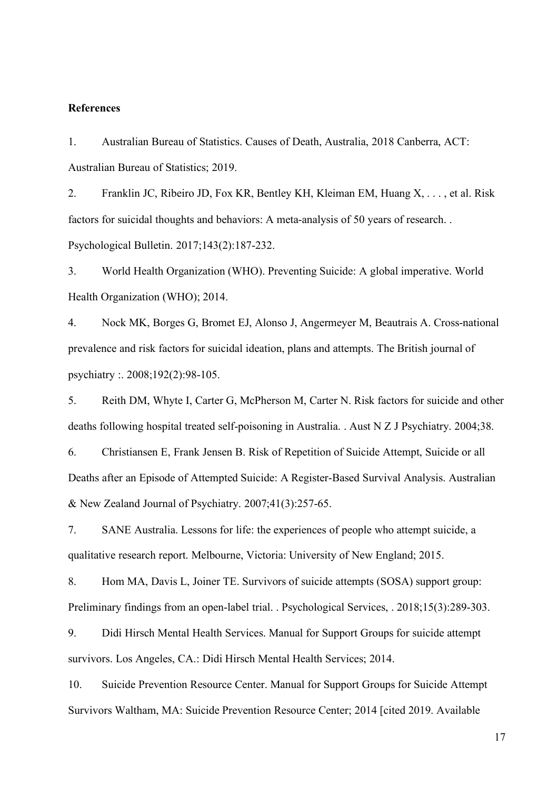# **References**

1. Australian Bureau of Statistics. Causes of Death, Australia, 2018 Canberra, ACT: Australian Bureau of Statistics; 2019.

2. Franklin JC, Ribeiro JD, Fox KR, Bentley KH, Kleiman EM, Huang X, . . . , et al. Risk factors for suicidal thoughts and behaviors: A meta-analysis of 50 years of research. . Psychological Bulletin. 2017;143(2):187-232.

3. World Health Organization (WHO). Preventing Suicide: A global imperative. World Health Organization (WHO); 2014.

4. Nock MK, Borges G, Bromet EJ, Alonso J, Angermeyer M, Beautrais A. Cross-national prevalence and risk factors for suicidal ideation, plans and attempts. The British journal of psychiatry :. 2008;192(2):98-105.

5. Reith DM, Whyte I, Carter G, McPherson M, Carter N. Risk factors for suicide and other deaths following hospital treated self-poisoning in Australia. . Aust N Z J Psychiatry. 2004;38.

6. Christiansen E, Frank Jensen B. Risk of Repetition of Suicide Attempt, Suicide or all Deaths after an Episode of Attempted Suicide: A Register-Based Survival Analysis. Australian & New Zealand Journal of Psychiatry. 2007;41(3):257-65.

7. SANE Australia. Lessons for life: the experiences of people who attempt suicide, a qualitative research report. Melbourne, Victoria: University of New England; 2015.

8. Hom MA, Davis L, Joiner TE. Survivors of suicide attempts (SOSA) support group: Preliminary findings from an open-label trial. . Psychological Services, . 2018;15(3):289-303.

9. Didi Hirsch Mental Health Services. Manual for Support Groups for suicide attempt survivors. Los Angeles, CA.: Didi Hirsch Mental Health Services; 2014.

10. Suicide Prevention Resource Center. Manual for Support Groups for Suicide Attempt Survivors Waltham, MA: Suicide Prevention Resource Center; 2014 [cited 2019. Available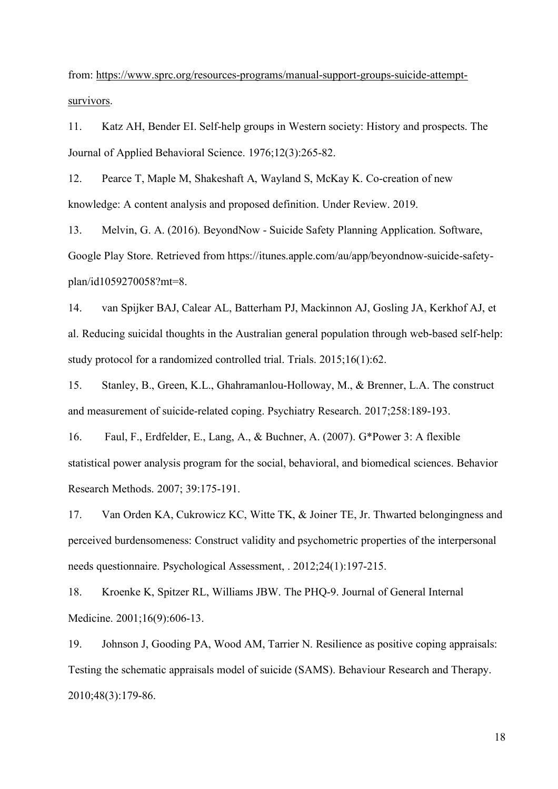from: https://www.sprc.org/resources-programs/manual-support-groups-suicide-attemptsurvivors.

11. Katz AH, Bender EI. Self-help groups in Western society: History and prospects. The Journal of Applied Behavioral Science. 1976;12(3):265-82.

12. Pearce T, Maple M, Shakeshaft A, Wayland S, McKay K. Co-creation of new knowledge: A content analysis and proposed definition. Under Review. 2019.

13. Melvin, G. A. (2016). BeyondNow - Suicide Safety Planning Application. Software, Google Play Store. Retrieved from https://itunes.apple.com/au/app/beyondnow-suicide-safetyplan/id1059270058?mt=8.

14. van Spijker BAJ, Calear AL, Batterham PJ, Mackinnon AJ, Gosling JA, Kerkhof AJ, et al. Reducing suicidal thoughts in the Australian general population through web-based self-help: study protocol for a randomized controlled trial. Trials. 2015;16(1):62.

15. Stanley, B., Green, K.L., Ghahramanlou-Holloway, M., & Brenner, L.A. The construct and measurement of suicide-related coping. Psychiatry Research. 2017;258:189-193.

16. Faul, F., Erdfelder, E., Lang, A., & Buchner, A. (2007). G\*Power 3: A flexible statistical power analysis program for the social, behavioral, and biomedical sciences. Behavior Research Methods. 2007; 39:175-191.

17. Van Orden KA, Cukrowicz KC, Witte TK, & Joiner TE, Jr. Thwarted belongingness and perceived burdensomeness: Construct validity and psychometric properties of the interpersonal needs questionnaire. Psychological Assessment, . 2012;24(1):197-215.

18. Kroenke K, Spitzer RL, Williams JBW. The PHQ-9. Journal of General Internal Medicine. 2001;16(9):606-13.

19. Johnson J, Gooding PA, Wood AM, Tarrier N. Resilience as positive coping appraisals: Testing the schematic appraisals model of suicide (SAMS). Behaviour Research and Therapy. 2010;48(3):179-86.